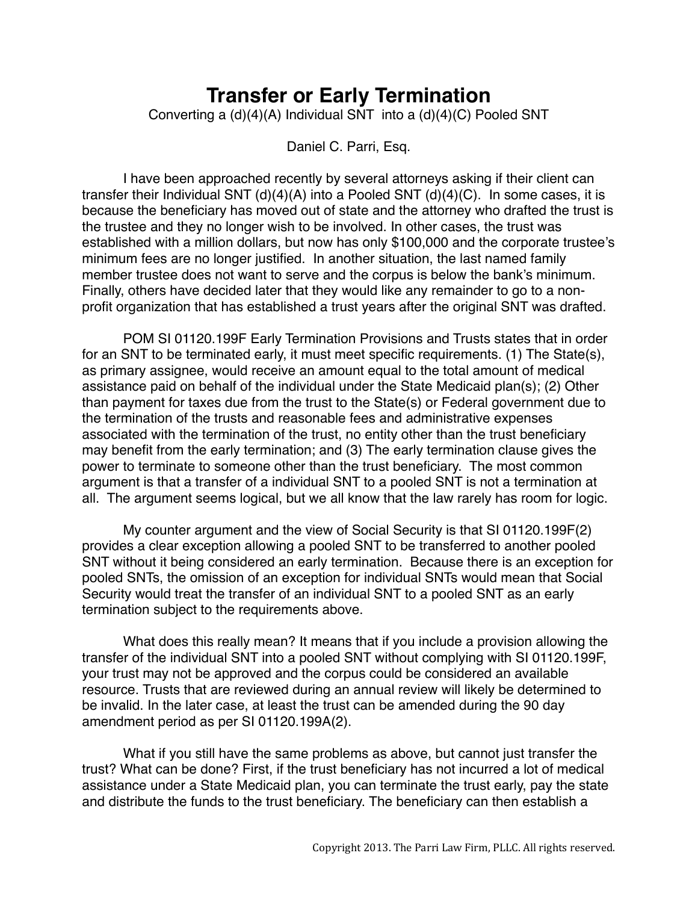## **Transfer or Early Termination**

Converting a (d)(4)(A) Individual SNT into a (d)(4)(C) Pooled SNT

Daniel C. Parri, Esq.

I have been approached recently by several attorneys asking if their client can transfer their Individual SNT (d)(4)(A) into a Pooled SNT (d)(4)(C). In some cases, it is because the beneficiary has moved out of state and the attorney who drafted the trust is the trustee and they no longer wish to be involved. In other cases, the trust was established with a million dollars, but now has only \$100,000 and the corporate trustee's minimum fees are no longer justified. In another situation, the last named family member trustee does not want to serve and the corpus is below the bank's minimum. Finally, others have decided later that they would like any remainder to go to a nonprofit organization that has established a trust years after the original SNT was drafted.

POM SI 01120.199F Early Termination Provisions and Trusts states that in order for an SNT to be terminated early, it must meet specific requirements. (1) The State(s), as primary assignee, would receive an amount equal to the total amount of medical assistance paid on behalf of the individual under the State Medicaid plan(s); (2) Other than payment for taxes due from the trust to the State(s) or Federal government due to the termination of the trusts and reasonable fees and administrative expenses associated with the termination of the trust, no entity other than the trust beneficiary may benefit from the early termination; and (3) The early termination clause gives the power to terminate to someone other than the trust beneficiary. The most common argument is that a transfer of a individual SNT to a pooled SNT is not a termination at all. The argument seems logical, but we all know that the law rarely has room for logic.

My counter argument and the view of Social Security is that SI 01120.199F(2) provides a clear exception allowing a pooled SNT to be transferred to another pooled SNT without it being considered an early termination. Because there is an exception for pooled SNTs, the omission of an exception for individual SNTs would mean that Social Security would treat the transfer of an individual SNT to a pooled SNT as an early termination subject to the requirements above.

What does this really mean? It means that if you include a provision allowing the transfer of the individual SNT into a pooled SNT without complying with SI 01120.199F, your trust may not be approved and the corpus could be considered an available resource. Trusts that are reviewed during an annual review will likely be determined to be invalid. In the later case, at least the trust can be amended during the 90 day amendment period as per SI 01120.199A(2).

What if you still have the same problems as above, but cannot just transfer the trust? What can be done? First, if the trust beneficiary has not incurred a lot of medical assistance under a State Medicaid plan, you can terminate the trust early, pay the state and distribute the funds to the trust beneficiary. The beneficiary can then establish a